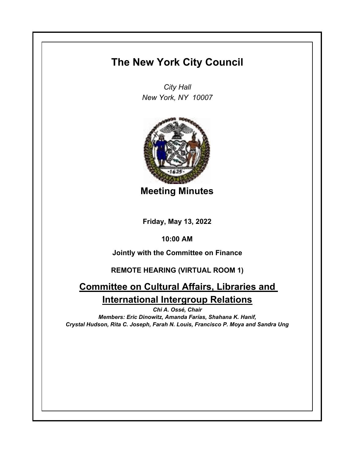## **The New York City Council**

*City Hall New York, NY 10007*



**Meeting Minutes**

**Friday, May 13, 2022**

**10:00 AM**

**Jointly with the Committee on Finance**

## **REMOTE HEARING (VIRTUAL ROOM 1)**

## **Committee on Cultural Affairs, Libraries and International Intergroup Relations**

*Chi A. Ossé, Chair Members: Eric Dinowitz, Amanda Farías, Shahana K. Hanif, Crystal Hudson, Rita C. Joseph, Farah N. Louis, Francisco P. Moya and Sandra Ung*